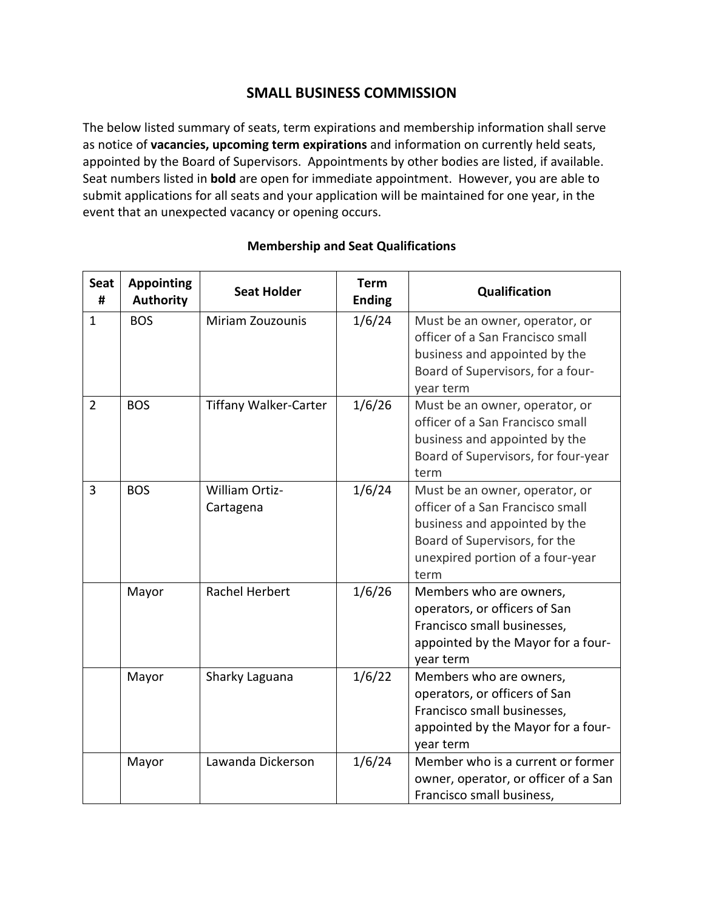# **SMALL BUSINESS COMMISSION**

The below listed summary of seats, term expirations and membership information shall serve as notice of **vacancies, upcoming term expirations** and information on currently held seats, appointed by the Board of Supervisors. Appointments by other bodies are listed, if available. Seat numbers listed in **bold** are open for immediate appointment. However, you are able to submit applications for all seats and your application will be maintained for one year, in the event that an unexpected vacancy or opening occurs.

| <b>Seat</b><br># | <b>Appointing</b><br><b>Authority</b> | <b>Seat Holder</b>                 | <b>Term</b><br><b>Ending</b> | Qualification                                                                                                                                                                    |
|------------------|---------------------------------------|------------------------------------|------------------------------|----------------------------------------------------------------------------------------------------------------------------------------------------------------------------------|
| $\mathbf{1}$     | <b>BOS</b>                            | Miriam Zouzounis                   | 1/6/24                       | Must be an owner, operator, or<br>officer of a San Francisco small<br>business and appointed by the<br>Board of Supervisors, for a four-<br>year term                            |
| $\overline{2}$   | <b>BOS</b>                            | <b>Tiffany Walker-Carter</b>       | 1/6/26                       | Must be an owner, operator, or<br>officer of a San Francisco small<br>business and appointed by the<br>Board of Supervisors, for four-year<br>term                               |
| $\overline{3}$   | <b>BOS</b>                            | <b>William Ortiz-</b><br>Cartagena | 1/6/24                       | Must be an owner, operator, or<br>officer of a San Francisco small<br>business and appointed by the<br>Board of Supervisors, for the<br>unexpired portion of a four-year<br>term |
|                  | Mayor                                 | Rachel Herbert                     | 1/6/26                       | Members who are owners,<br>operators, or officers of San<br>Francisco small businesses,<br>appointed by the Mayor for a four-<br>year term                                       |
|                  | Mayor                                 | Sharky Laguana                     | 1/6/22                       | Members who are owners,<br>operators, or officers of San<br>Francisco small businesses,<br>appointed by the Mayor for a four-<br>year term                                       |
|                  | Mayor                                 | Lawanda Dickerson                  | 1/6/24                       | Member who is a current or former<br>owner, operator, or officer of a San<br>Francisco small business,                                                                           |

### **Membership and Seat Qualifications**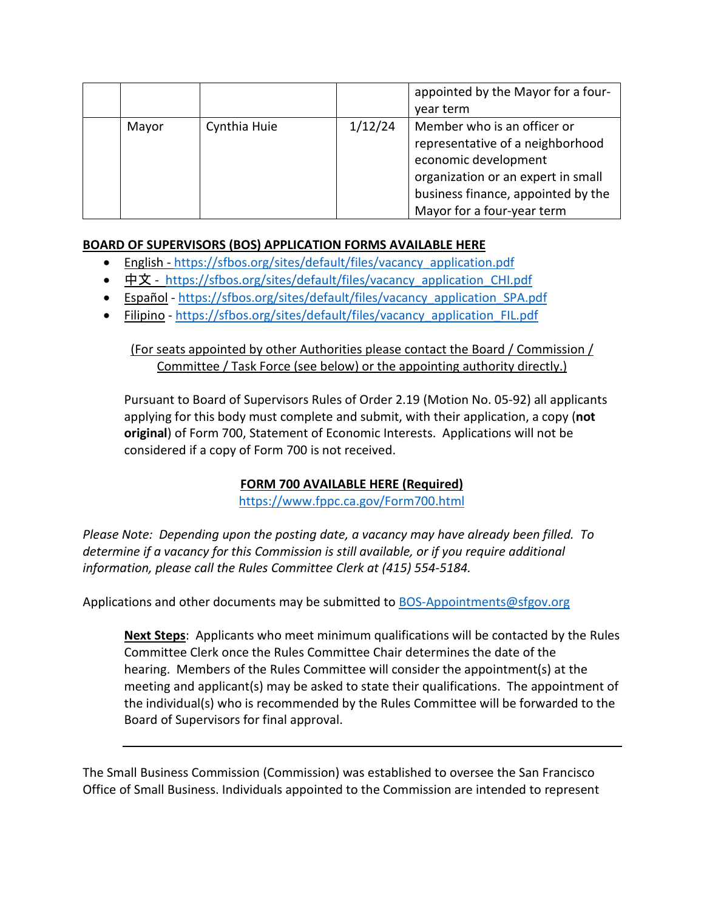|       |              |         | appointed by the Mayor for a four-<br>year term                                                                                                                                                   |
|-------|--------------|---------|---------------------------------------------------------------------------------------------------------------------------------------------------------------------------------------------------|
| Mayor | Cynthia Huie | 1/12/24 | Member who is an officer or<br>representative of a neighborhood<br>economic development<br>organization or an expert in small<br>business finance, appointed by the<br>Mayor for a four-year term |

## **BOARD OF SUPERVISORS (BOS) APPLICATION FORMS AVAILABLE HERE**

- English [https://sfbos.org/sites/default/files/vacancy\\_application.pdf](https://sfbos.org/sites/default/files/vacancy_application.pdf)
- [中文](https://sfbos.org/sites/default/files/vacancy_application_CHI.pdf) [https://sfbos.org/sites/default/files/vacancy\\_application\\_CHI.pdf](https://sfbos.org/sites/default/files/vacancy_application_CHI.pdf)
- [Español](https://sfbos.org/sites/default/files/vacancy_application_SPA.pdf) [https://sfbos.org/sites/default/files/vacancy\\_application\\_SPA.pdf](https://sfbos.org/sites/default/files/vacancy_application_SPA.pdf)
- [Filipino](https://sfbos.org/sites/default/files/vacancy_application_FIL.pdf) [https://sfbos.org/sites/default/files/vacancy\\_application\\_FIL.pdf](https://sfbos.org/sites/default/files/vacancy_application_FIL.pdf)

## (For seats appointed by other Authorities please contact the Board / Commission / Committee / Task Force (see below) or the appointing authority directly.)

Pursuant to Board of Supervisors Rules of Order 2.19 (Motion No. 05-92) all applicants applying for this body must complete and submit, with their application, a copy (**not original**) of Form 700, Statement of Economic Interests. Applications will not be considered if a copy of Form 700 is not received.

## **FORM 700 AVAILABLE HERE (Required)**

<https://www.fppc.ca.gov/Form700.html>

*Please Note: Depending upon the posting date, a vacancy may have already been filled. To determine if a vacancy for this Commission is still available, or if you require additional information, please call the Rules Committee Clerk at (415) 554-5184.*

Applications and other documents may be submitted to [BOS-Appointments@sfgov.org](mailto:BOS-Appointments@sfgov.org)

**Next Steps**: Applicants who meet minimum qualifications will be contacted by the Rules Committee Clerk once the Rules Committee Chair determines the date of the hearing. Members of the Rules Committee will consider the appointment(s) at the meeting and applicant(s) may be asked to state their qualifications. The appointment of the individual(s) who is recommended by the Rules Committee will be forwarded to the Board of Supervisors for final approval.

The Small Business Commission (Commission) was established to oversee the San Francisco Office of Small Business. Individuals appointed to the Commission are intended to represent